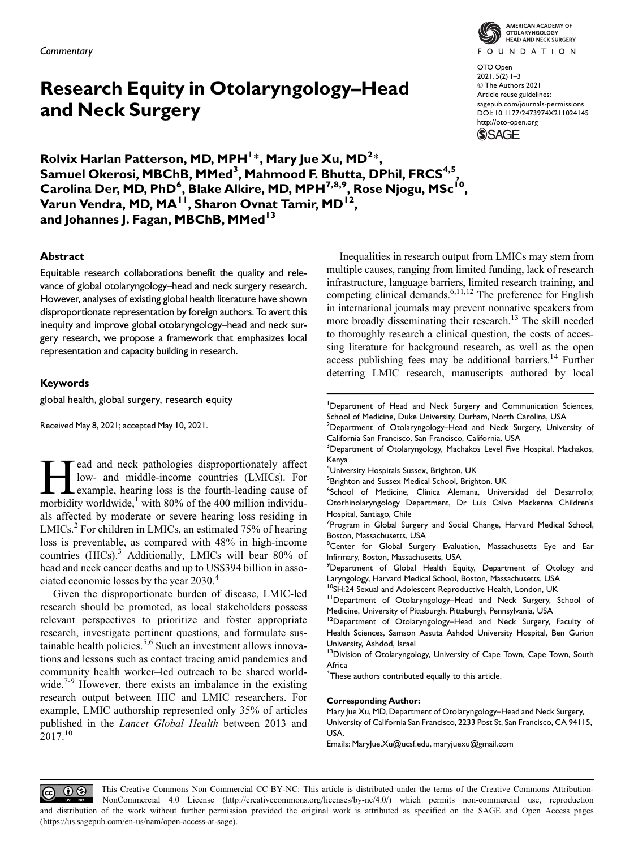# Research Equity in Otolaryngology–Head and Neck Surgery

Rolvix Harlan Patterson, MD, MPH $^{1\ast}$ , Mary Jue Xu, MD $^{2\ast}$ , Samuel Okerosi, MBChB, MMed<sup>3</sup>, Mahmood F. Bhutta, DPhil, FRCS<sup>4,5</sup>, Carolina Der, MD, PhD<sup>6</sup>, Blake Alkire, MD, MPH<sup>7,8,9</sup>, Rose Njogu, MSc<sup>10</sup>, Varun Vendra, MD, MA<sup>TI</sup>, Sharon Ovnat Tamir, MD<sup>12</sup>, and Johannes J. Fagan, MBChB, MMed<sup>13</sup>

# Abstract

Equitable research collaborations benefit the quality and relevance of global otolaryngology–head and neck surgery research. However, analyses of existing global health literature have shown disproportionate representation by foreign authors. To avert this inequity and improve global otolaryngology–head and neck surgery research, we propose a framework that emphasizes local representation and capacity building in research.

## Keywords

global health, global surgery, research equity

Received May 8, 2021; accepted May 10, 2021.

Example, hearing loss is the fourth-leading cause of<br>morbidity worldwide <sup>1</sup> with 80% of the 400 million individulow- and middle-income countries (LMICs). For example, hearing loss is the fourth-leading cause of morbidity worldwide,<sup>1</sup> with 80% of the 400 million individuals affected by moderate or severe hearing loss residing in  $LMICS<sup>2</sup>$  For children in LMICs, an estimated 75% of hearing loss is preventable, as compared with 48% in high-income countries (HICs).<sup>3</sup> Additionally, LMICs will bear 80% of head and neck cancer deaths and up to US\$394 billion in associated economic losses by the year 2030.<sup>4</sup>

Given the disproportionate burden of disease, LMIC-led research should be promoted, as local stakeholders possess relevant perspectives to prioritize and foster appropriate research, investigate pertinent questions, and formulate sustainable health policies.<sup>5,6</sup> Such an investment allows innovations and lessons such as contact tracing amid pandemics and community health worker–led outreach to be shared worldwide.<sup>7-9</sup> However, there exists an imbalance in the existing research output between HIC and LMIC researchers. For example, LMIC authorship represented only 35% of articles published in the Lancet Global Health between 2013 and  $2017.<sup>10</sup>$ 



OTO Open 2021, 5(2) 1–3 - The Authors 2021 Article reuse guidelines: sagepub.com/journals-permissions DOI: 10.1177/2473974X211024145 http://oto-open.org **SSAGE** 

Inequalities in research output from LMICs may stem from multiple causes, ranging from limited funding, lack of research infrastructure, language barriers, limited research training, and competing clinical demands. $6,11,12$  The preference for English in international journals may prevent nonnative speakers from more broadly disseminating their research.<sup>13</sup> The skill needed to thoroughly research a clinical question, the costs of accessing literature for background research, as well as the open access publishing fees may be additional barriers.<sup>14</sup> Further deterring LMIC research, manuscripts authored by local

<sup>1</sup>Department of Head and Neck Surgery and Communication Sciences, School of Medicine, Duke University, Durham, North Carolina, USA

<sup>2</sup>Department of Otolaryngology–Head and Neck Surgery, University of California San Francisco, San Francisco, California, USA

<sup>3</sup>Department of Otolaryngology, Machakos Level Five Hospital, Machakos, Kenya

4 University Hospitals Sussex, Brighton, UK

<sup>5</sup>Brighton and Sussex Medical School, Brighton, UK

<sup>6</sup>School of Medicine, Clínica Alemana, Universidad del Desarrollo; Otorhinolaryngology Department, Dr Luis Calvo Mackenna Children's Hospital, Santiago, Chile

<sup>7</sup>Program in Global Surgery and Social Change, Harvard Medical School, Boston, Massachusetts, USA

<sup>8</sup>Center for Global Surgery Evaluation, Massachusetts Eye and Ear Infirmary, Boston, Massachusetts, USA

<sup>9</sup>Department of Global Health Equity, Department of Otology and Laryngology, Harvard Medical School, Boston, Massachusetts, USA

<sup>10</sup>SH:24 Sexual and Adolescent Reproductive Health, London, UK

11Department of Otolaryngology–Head and Neck Surgery, School of Medicine, University of Pittsburgh, Pittsburgh, Pennsylvania, USA

<sup>12</sup>Department of Otolaryngology-Head and Neck Surgery, Faculty of Health Sciences, Samson Assuta Ashdod University Hospital, Ben Gurion University, Ashdod, Israel

<sup>13</sup>Division of Otolaryngology, University of Cape Town, Cape Town, South Africa

\* These authors contributed equally to this article.

#### Corresponding Author:

Mary Jue Xu, MD, Department of Otolaryngology–Head and Neck Surgery, University of California San Francisco, 2233 Post St, San Francisco, CA 94115, USA.

Emails: MaryJue.Xu@ucsf.edu, maryjuexu@gmail.com

This Creative Commons Non Commercial CC BY-NC: This article is distributed under the terms of the Creative Commons Attribution- $\odot$   $\odot$ (cc) NonCommercial 4.0 License (http://creativecommons.org/licenses/by-nc/4.0/) which permits non-commercial use, reproduction and distribution of the work without further permission provided the original work is attributed as specified on the SAGE and Open Access pages (https://us.sagepub.com/en-us/nam/open-access-at-sage).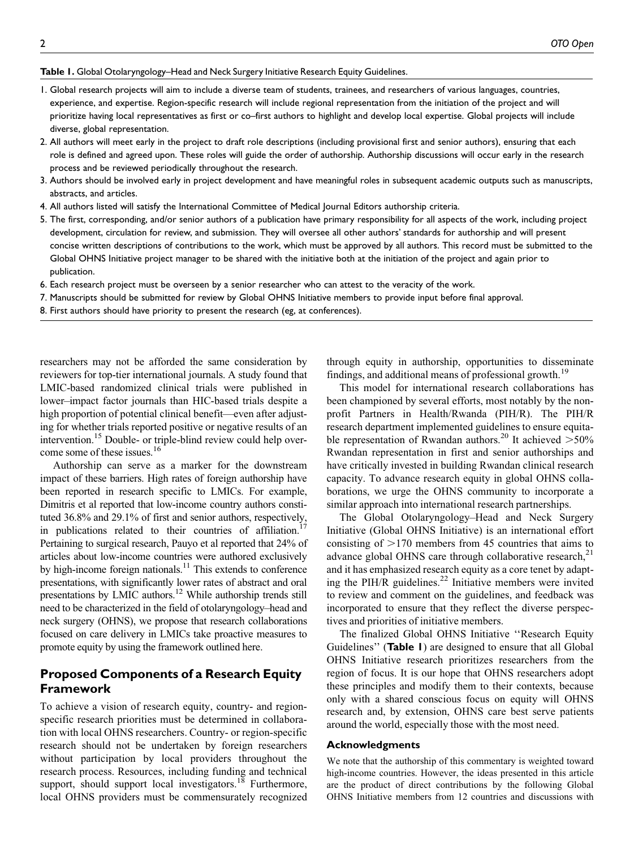#### Table I. Global Otolaryngology-Head and Neck Surgery Initiative Research Equity Guidelines.

- 1. Global research projects will aim to include a diverse team of students, trainees, and researchers of various languages, countries, experience, and expertise. Region-specific research will include regional representation from the initiation of the project and will prioritize having local representatives as first or co–first authors to highlight and develop local expertise. Global projects will include diverse, global representation.
- 2. All authors will meet early in the project to draft role descriptions (including provisional first and senior authors), ensuring that each role is defined and agreed upon. These roles will guide the order of authorship. Authorship discussions will occur early in the research process and be reviewed periodically throughout the research.
- 3. Authors should be involved early in project development and have meaningful roles in subsequent academic outputs such as manuscripts, abstracts, and articles.
- 4. All authors listed will satisfy the International Committee of Medical Journal Editors authorship criteria.
- 5. The first, corresponding, and/or senior authors of a publication have primary responsibility for all aspects of the work, including project development, circulation for review, and submission. They will oversee all other authors' standards for authorship and will present concise written descriptions of contributions to the work, which must be approved by all authors. This record must be submitted to the Global OHNS Initiative project manager to be shared with the initiative both at the initiation of the project and again prior to publication.
- 6. Each research project must be overseen by a senior researcher who can attest to the veracity of the work.
- 7. Manuscripts should be submitted for review by Global OHNS Initiative members to provide input before final approval.
- 8. First authors should have priority to present the research (eg, at conferences).

researchers may not be afforded the same consideration by reviewers for top-tier international journals. A study found that LMIC-based randomized clinical trials were published in lower–impact factor journals than HIC-based trials despite a high proportion of potential clinical benefit—even after adjusting for whether trials reported positive or negative results of an intervention.<sup>15</sup> Double- or triple-blind review could help overcome some of these issues.<sup>16</sup>

Authorship can serve as a marker for the downstream impact of these barriers. High rates of foreign authorship have been reported in research specific to LMICs. For example, Dimitris et al reported that low-income country authors constituted 36.8% and 29.1% of first and senior authors, respectively, in publications related to their countries of affiliation.<sup>17</sup> Pertaining to surgical research, Pauyo et al reported that 24% of articles about low-income countries were authored exclusively by high-income foreign nationals.<sup>11</sup> This extends to conference presentations, with significantly lower rates of abstract and oral presentations by LMIC authors.<sup>12</sup> While authorship trends still need to be characterized in the field of otolaryngology–head and neck surgery (OHNS), we propose that research collaborations focused on care delivery in LMICs take proactive measures to promote equity by using the framework outlined here.

# Proposed Components of a Research Equity Framework

To achieve a vision of research equity, country- and regionspecific research priorities must be determined in collaboration with local OHNS researchers. Country- or region-specific research should not be undertaken by foreign researchers without participation by local providers throughout the research process. Resources, including funding and technical support, should support local investigators.<sup>18</sup> Furthermore, local OHNS providers must be commensurately recognized through equity in authorship, opportunities to disseminate findings, and additional means of professional growth.<sup>19</sup>

This model for international research collaborations has been championed by several efforts, most notably by the nonprofit Partners in Health/Rwanda (PIH/R). The PIH/R research department implemented guidelines to ensure equitable representation of Rwandan authors.<sup>20</sup> It achieved  $>50\%$ Rwandan representation in first and senior authorships and have critically invested in building Rwandan clinical research capacity. To advance research equity in global OHNS collaborations, we urge the OHNS community to incorporate a similar approach into international research partnerships.

The Global Otolaryngology–Head and Neck Surgery Initiative (Global OHNS Initiative) is an international effort consisting of  $>170$  members from 45 countries that aims to advance global OHNS care through collaborative research, $^{21}$ and it has emphasized research equity as a core tenet by adapting the PIH/R guidelines. $^{22}$  Initiative members were invited to review and comment on the guidelines, and feedback was incorporated to ensure that they reflect the diverse perspectives and priorities of initiative members.

The finalized Global OHNS Initiative ''Research Equity Guidelines" (Table 1) are designed to ensure that all Global OHNS Initiative research prioritizes researchers from the region of focus. It is our hope that OHNS researchers adopt these principles and modify them to their contexts, because only with a shared conscious focus on equity will OHNS research and, by extension, OHNS care best serve patients around the world, especially those with the most need.

#### Acknowledgments

We note that the authorship of this commentary is weighted toward high-income countries. However, the ideas presented in this article are the product of direct contributions by the following Global OHNS Initiative members from 12 countries and discussions with